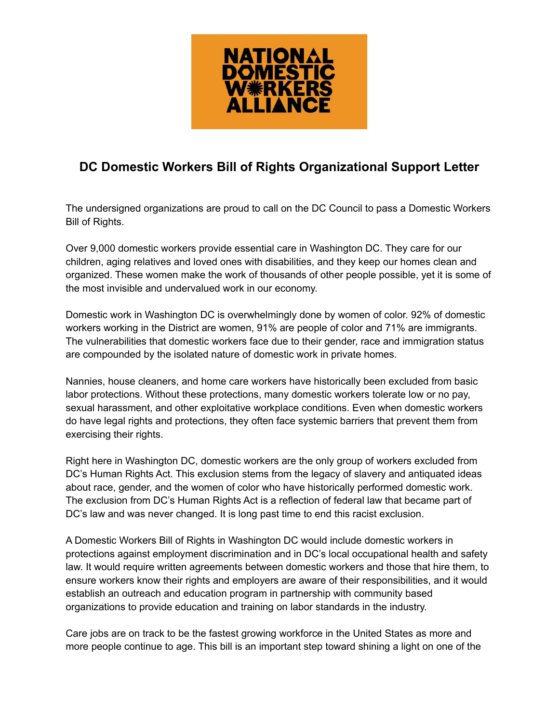

## **DC Domestic Workers Bill of Rights Organizational Support Letter**

The undersigned organizations are proud to call on the DC Council to pass a Domestic Workers Bill of Rights.

Over 9,000 domestic workers provide essential care in Washington DC. They care for our children, aging relatives and loved ones with disabilities, and they keep our homes clean and organized. These women make the work of thousands of other people possible, yet it is some of the most invisible and undervalued work in our economy.

Domestic work in Washington DC is overwhelmingly done by women of color. 92% of domestic workers working in the District are women, 91% are people of color and 71% are immigrants. The vulnerabilities that domestic workers face due to their gender, race and immigration status are compounded by the isolated nature of domestic work in private homes.

Nannies, house cleaners, and home care workers have historically been excluded from basic labor protections. Without these protections, many domestic workers tolerate low or no pay, sexual harassment, and other exploitative workplace conditions. Even when domestic workers do have legal rights and protections, they often face systemic barriers that prevent them from exercising their rights.

Right here in Washington DC, domestic workers are the only group of workers excluded from DC's Human Rights Act. This exclusion stems from the legacy of slavery and antiquated ideas about race, gender, and the women of color who have historically performed domestic work. The exclusion from DC's Human Rights Act is a reflection of federal law that became part of DC's law and was never changed. It is long past time to end this racist exclusion.

A Domestic Workers Bill of Rights in Washington DC would include domestic workers in protections against employment discrimination and in DC's local occupational health and safety law. It would require written agreements between domestic workers and those that hire them, to ensure workers know their rights and employers are aware of their responsibilities, and it would establish an outreach and education program in partnership with community based organizations to provide education and training on labor standards in the industry.

Care jobs are on track to be the fastest growing workforce in the United States as more and more people continue to age. This bill is an important step toward shining a light on one of the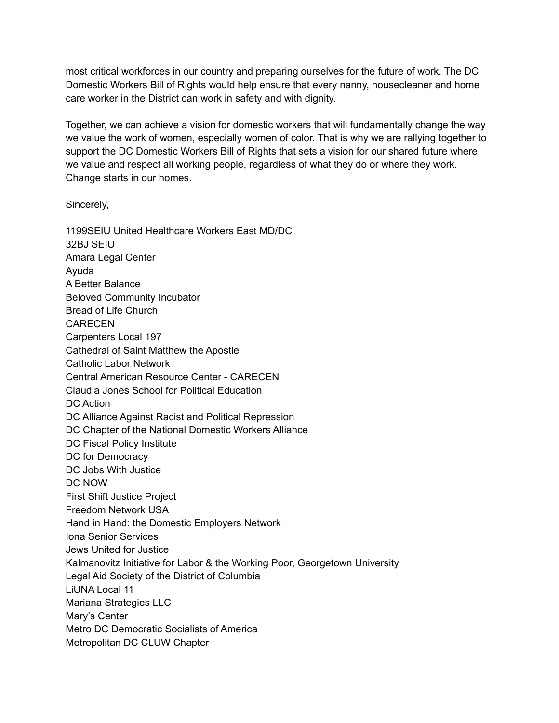most critical workforces in our country and preparing ourselves for the future of work. The DC Domestic Workers Bill of Rights would help ensure that every nanny, housecleaner and home care worker in the District can work in safety and with dignity.

Together, we can achieve a vision for domestic workers that will fundamentally change the way we value the work of women, especially women of color. That is why we are rallying together to support the DC Domestic Workers Bill of Rights that sets a vision for our shared future where we value and respect all working people, regardless of what they do or where they work. Change starts in our homes.

Sincerely,

1199SEIU United Healthcare Workers East MD/DC 32BJ SEIU Amara Legal Center Ayuda A Better Balance Beloved Community Incubator Bread of Life Church **CARECEN** Carpenters Local 197 Cathedral of Saint Matthew the Apostle Catholic Labor Network Central American Resource Center - CARECEN Claudia Jones School for Political Education DC Action DC Alliance Against Racist and Political Repression DC Chapter of the National Domestic Workers Alliance DC Fiscal Policy Institute DC for Democracy DC Jobs With Justice DC NOW First Shift Justice Project Freedom Network USA Hand in Hand: the Domestic Employers Network Iona Senior Services Jews United for Justice Kalmanovitz Initiative for Labor & the Working Poor, Georgetown University Legal Aid Society of the District of Columbia LiUNA Local 11 Mariana Strategies LLC Mary's Center Metro DC Democratic Socialists of America Metropolitan DC CLUW Chapter